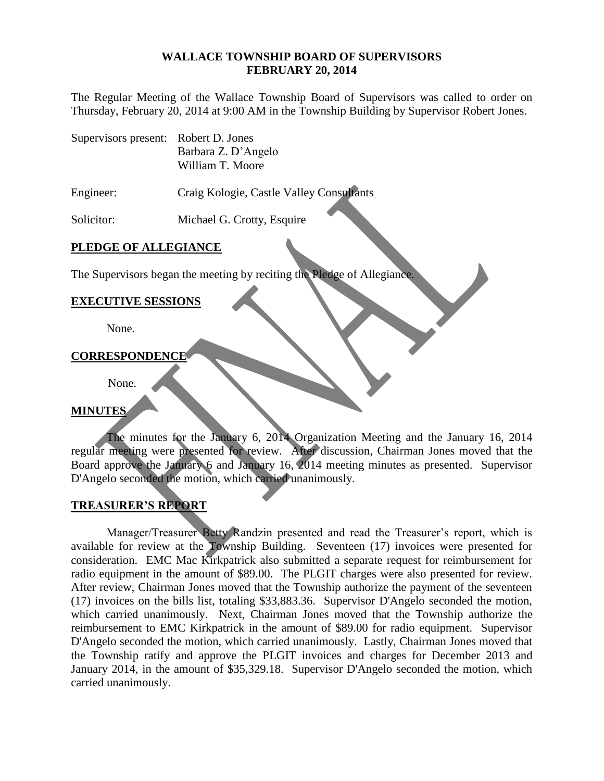#### **WALLACE TOWNSHIP BOARD OF SUPERVISORS FEBRUARY 20, 2014**

The Regular Meeting of the Wallace Township Board of Supervisors was called to order on Thursday, February 20, 2014 at 9:00 AM in the Township Building by Supervisor Robert Jones.

Supervisors present: Robert D. Jones Barbara Z. D'Angelo William T. Moore

Engineer: Craig Kologie, Castle Valley Consultants

Solicitor: Michael G. Crotty, Esquire

## **PLEDGE OF ALLEGIANCE**

The Supervisors began the meeting by reciting the Pledge of Allegiance.

### **EXECUTIVE SESSIONS**

None.

#### **CORRESPONDENCE**

None.

## **MINUTES**

The minutes for the January 6, 2014 Organization Meeting and the January 16, 2014 regular meeting were presented for review. After discussion, Chairman Jones moved that the Board approve the January 6 and January 16, 2014 meeting minutes as presented. Supervisor D'Angelo seconded the motion, which carried unanimously.

## **TREASURER'S REPORT**

Manager/Treasurer Betty Randzin presented and read the Treasurer's report, which is available for review at the Township Building. Seventeen (17) invoices were presented for consideration. EMC Mac Kirkpatrick also submitted a separate request for reimbursement for radio equipment in the amount of \$89.00. The PLGIT charges were also presented for review. After review, Chairman Jones moved that the Township authorize the payment of the seventeen (17) invoices on the bills list, totaling \$33,883.36. Supervisor D'Angelo seconded the motion, which carried unanimously. Next, Chairman Jones moved that the Township authorize the reimbursement to EMC Kirkpatrick in the amount of \$89.00 for radio equipment. Supervisor D'Angelo seconded the motion, which carried unanimously. Lastly, Chairman Jones moved that the Township ratify and approve the PLGIT invoices and charges for December 2013 and January 2014, in the amount of \$35,329.18. Supervisor D'Angelo seconded the motion, which carried unanimously.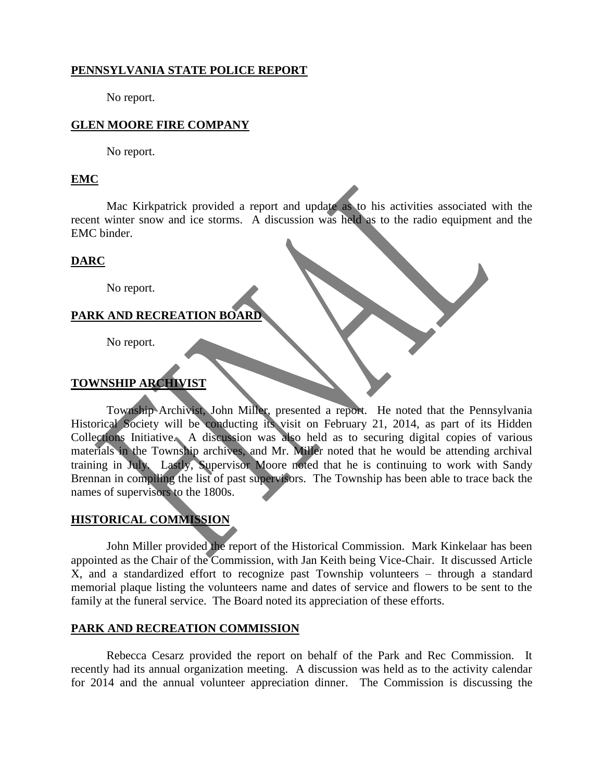# **PENNSYLVANIA STATE POLICE REPORT**

No report.

# **GLEN MOORE FIRE COMPANY**

No report.

#### **EMC**

Mac Kirkpatrick provided a report and update as to his activities associated with the recent winter snow and ice storms. A discussion was held as to the radio equipment and the EMC binder.

#### **DARC**

No report.

#### **PARK AND RECREATION BOARD**

No report.

## **TOWNSHIP ARCHIVIST**

Township Archivist, John Miller, presented a report. He noted that the Pennsylvania Historical Society will be conducting its visit on February 21, 2014, as part of its Hidden Collections Initiative. A discussion was also held as to securing digital copies of various materials in the Township archives, and Mr. Miller noted that he would be attending archival training in July. Lastly, Supervisor Moore noted that he is continuing to work with Sandy Brennan in compiling the list of past supervisors. The Township has been able to trace back the names of supervisors to the 1800s.

## **HISTORICAL COMMISSION**

John Miller provided the report of the Historical Commission. Mark Kinkelaar has been appointed as the Chair of the Commission, with Jan Keith being Vice-Chair. It discussed Article X, and a standardized effort to recognize past Township volunteers – through a standard memorial plaque listing the volunteers name and dates of service and flowers to be sent to the family at the funeral service. The Board noted its appreciation of these efforts.

#### **PARK AND RECREATION COMMISSION**

Rebecca Cesarz provided the report on behalf of the Park and Rec Commission. It recently had its annual organization meeting. A discussion was held as to the activity calendar for 2014 and the annual volunteer appreciation dinner. The Commission is discussing the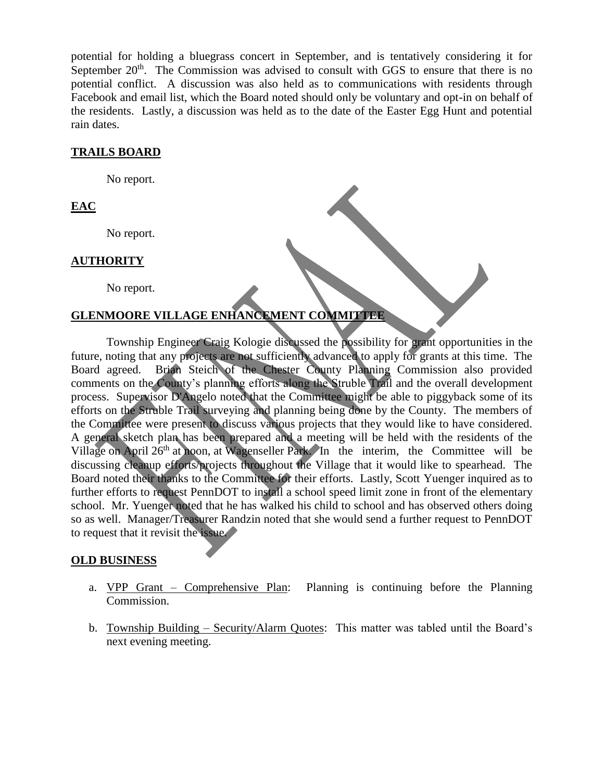potential for holding a bluegrass concert in September, and is tentatively considering it for September  $20<sup>th</sup>$ . The Commission was advised to consult with GGS to ensure that there is no potential conflict. A discussion was also held as to communications with residents through Facebook and email list, which the Board noted should only be voluntary and opt-in on behalf of the residents. Lastly, a discussion was held as to the date of the Easter Egg Hunt and potential rain dates.

### **TRAILS BOARD**

No report.

# **EAC**

No report.

## **AUTHORITY**

No report.

### **GLENMOORE VILLAGE ENHANCEMENT COMMITTEE**

Township Engineer Craig Kologie discussed the possibility for grant opportunities in the future, noting that any projects are not sufficiently advanced to apply for grants at this time. The Board agreed. Brian Steich of the Chester County Planning Commission also provided comments on the County's planning efforts along the Struble Trail and the overall development process. Supervisor D'Angelo noted that the Committee might be able to piggyback some of its efforts on the Struble Trail surveying and planning being done by the County. The members of the Committee were present to discuss various projects that they would like to have considered. A general sketch plan has been prepared and a meeting will be held with the residents of the Village on April 26<sup>th</sup> at noon, at Wagenseller Park. In the interim, the Committee will be discussing cleanup efforts/projects throughout the Village that it would like to spearhead. The Board noted their thanks to the Committee for their efforts. Lastly, Scott Yuenger inquired as to further efforts to request PennDOT to install a school speed limit zone in front of the elementary school. Mr. Yuenger noted that he has walked his child to school and has observed others doing so as well. Manager/Treasurer Randzin noted that she would send a further request to PennDOT to request that it revisit the issue.

#### **OLD BUSINESS**

- a. VPP Grant Comprehensive Plan: Planning is continuing before the Planning Commission.
- b. Township Building Security/Alarm Quotes: This matter was tabled until the Board's next evening meeting.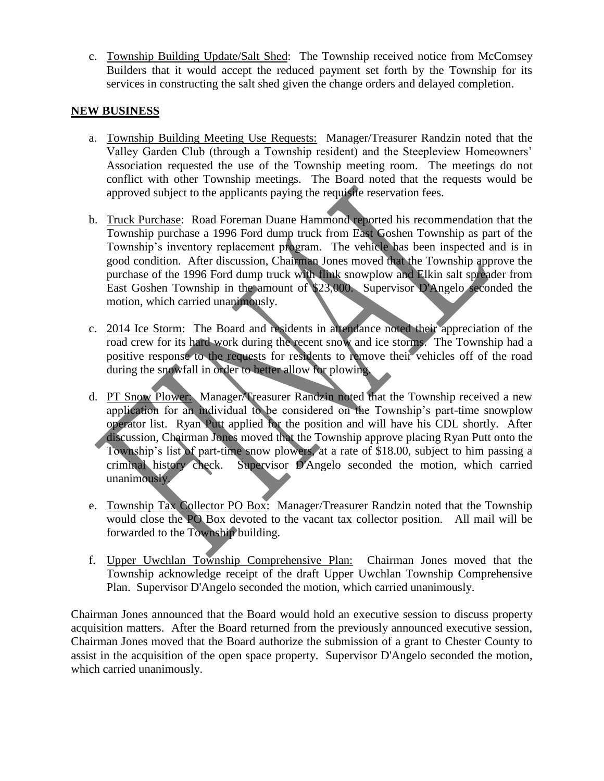c. Township Building Update/Salt Shed: The Township received notice from McComsey Builders that it would accept the reduced payment set forth by the Township for its services in constructing the salt shed given the change orders and delayed completion.

### **NEW BUSINESS**

- a. Township Building Meeting Use Requests: Manager/Treasurer Randzin noted that the Valley Garden Club (through a Township resident) and the Steepleview Homeowners' Association requested the use of the Township meeting room. The meetings do not conflict with other Township meetings. The Board noted that the requests would be approved subject to the applicants paying the requisite reservation fees.
- b. Truck Purchase: Road Foreman Duane Hammond reported his recommendation that the Township purchase a 1996 Ford dump truck from East Goshen Township as part of the Township's inventory replacement program. The vehicle has been inspected and is in good condition. After discussion, Chairman Jones moved that the Township approve the purchase of the 1996 Ford dump truck with flink snowplow and Elkin salt spreader from East Goshen Township in the amount of \$23,000. Supervisor D'Angelo seconded the motion, which carried unanimously.
- c. 2014 Ice Storm: The Board and residents in attendance noted their appreciation of the road crew for its hard work during the recent snow and ice storms. The Township had a positive response to the requests for residents to remove their vehicles off of the road during the snowfall in order to better allow for plowing.
- d. PT Snow Plower: Manager/Treasurer Randzin noted that the Township received a new application for an individual to be considered on the Township's part-time snowplow operator list. Ryan Putt applied for the position and will have his CDL shortly. After discussion, Chairman Jones moved that the Township approve placing Ryan Putt onto the Township's list of part-time snow plowers, at a rate of \$18.00, subject to him passing a criminal history check. Supervisor D'Angelo seconded the motion, which carried unanimously.
- e. Township Tax Collector PO Box: Manager/Treasurer Randzin noted that the Township would close the PO Box devoted to the vacant tax collector position. All mail will be forwarded to the Township building.
- f. Upper Uwchlan Township Comprehensive Plan: Chairman Jones moved that the Township acknowledge receipt of the draft Upper Uwchlan Township Comprehensive Plan. Supervisor D'Angelo seconded the motion, which carried unanimously.

Chairman Jones announced that the Board would hold an executive session to discuss property acquisition matters. After the Board returned from the previously announced executive session, Chairman Jones moved that the Board authorize the submission of a grant to Chester County to assist in the acquisition of the open space property. Supervisor D'Angelo seconded the motion, which carried unanimously.